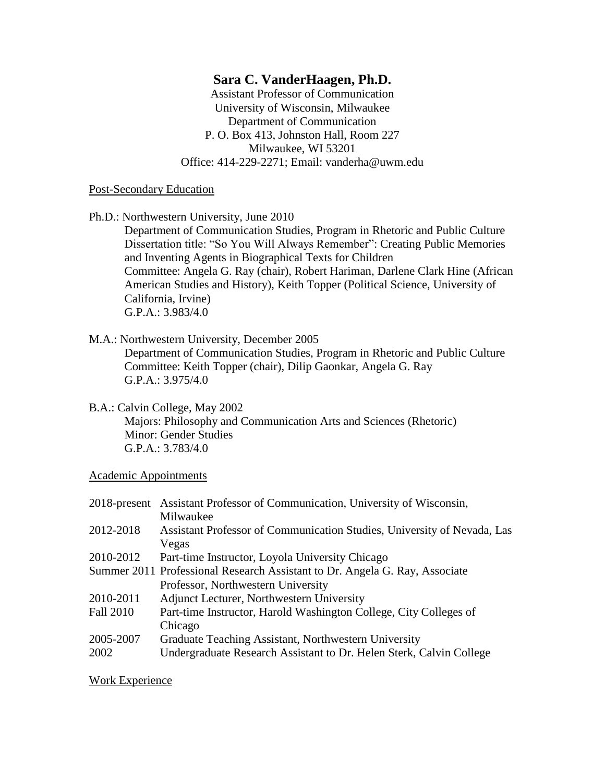# **Sara C. VanderHaagen, Ph.D.**

Assistant Professor of Communication University of Wisconsin, Milwaukee Department of Communication P. O. Box 413, Johnston Hall, Room 227 Milwaukee, WI 53201 Office: 414-229-2271; Email: vanderha@uwm.edu

#### Post-Secondary Education

Ph.D.: Northwestern University, June 2010

Department of Communication Studies, Program in Rhetoric and Public Culture Dissertation title: "So You Will Always Remember": Creating Public Memories and Inventing Agents in Biographical Texts for Children Committee: Angela G. Ray (chair), Robert Hariman, Darlene Clark Hine (African American Studies and History), Keith Topper (Political Science, University of California, Irvine) G.P.A.: 3.983/4.0

## M.A.: Northwestern University, December 2005

Department of Communication Studies, Program in Rhetoric and Public Culture Committee: Keith Topper (chair), Dilip Gaonkar, Angela G. Ray G.P.A.: 3.975/4.0

B.A.: Calvin College, May 2002

Majors: Philosophy and Communication Arts and Sciences (Rhetoric) Minor: Gender Studies G.P.A.: 3.783/4.0

### Academic Appointments

| 2018-present Assistant Professor of Communication, University of Wisconsin, |
|-----------------------------------------------------------------------------|
| Milwaukee                                                                   |
| Assistant Professor of Communication Studies, University of Nevada, Las     |
| Vegas                                                                       |
| Part-time Instructor, Loyola University Chicago                             |
| Summer 2011 Professional Research Assistant to Dr. Angela G. Ray, Associate |
| Professor, Northwestern University                                          |
| Adjunct Lecturer, Northwestern University                                   |
| Part-time Instructor, Harold Washington College, City Colleges of           |
| Chicago                                                                     |
| Graduate Teaching Assistant, Northwestern University                        |
| Undergraduate Research Assistant to Dr. Helen Sterk, Calvin College         |
|                                                                             |

### Work Experience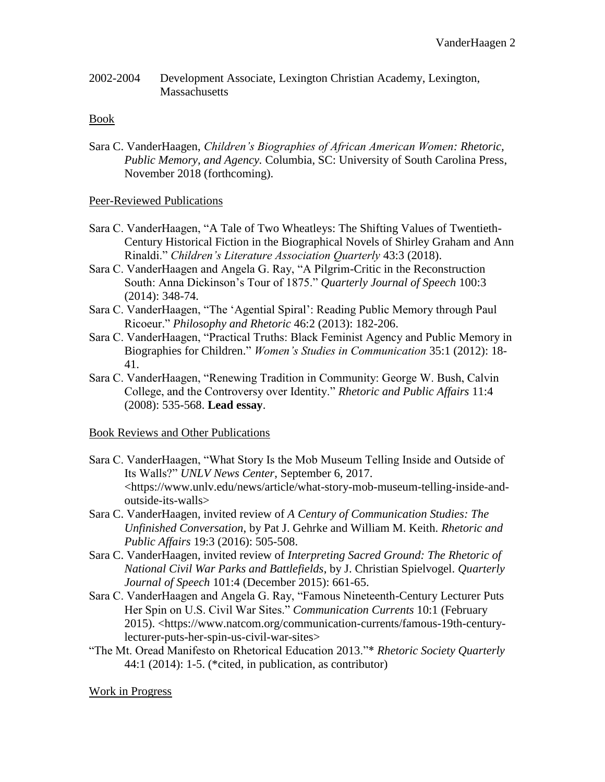2002-2004 Development Associate, Lexington Christian Academy, Lexington, **Massachusetts** 

#### Book

Sara C. VanderHaagen, *Children's Biographies of African American Women: Rhetoric, Public Memory, and Agency.* Columbia, SC: University of South Carolina Press, November 2018 (forthcoming).

#### Peer-Reviewed Publications

- Sara C. VanderHaagen, "A Tale of Two Wheatleys: The Shifting Values of Twentieth-Century Historical Fiction in the Biographical Novels of Shirley Graham and Ann Rinaldi." *Children's Literature Association Quarterly* 43:3 (2018).
- Sara C. VanderHaagen and Angela G. Ray, "A Pilgrim-Critic in the Reconstruction South: Anna Dickinson's Tour of 1875." *Quarterly Journal of Speech* 100:3 (2014): 348-74.
- Sara C. VanderHaagen, "The 'Agential Spiral': Reading Public Memory through Paul Ricoeur." *Philosophy and Rhetoric* 46:2 (2013): 182-206.
- Sara C. VanderHaagen, "Practical Truths: Black Feminist Agency and Public Memory in Biographies for Children." *Women's Studies in Communication* 35:1 (2012): 18- 41.
- Sara C. VanderHaagen, "Renewing Tradition in Community: George W. Bush, Calvin College, and the Controversy over Identity." *Rhetoric and Public Affairs* 11:4 (2008): 535-568. **Lead essay**.

#### Book Reviews and Other Publications

- Sara C. VanderHaagen, "What Story Is the Mob Museum Telling Inside and Outside of Its Walls?" *UNLV News Center*, September 6, 2017. <https://www.unlv.edu/news/article/what-story-mob-museum-telling-inside-andoutside-its-walls>
- Sara C. VanderHaagen, invited review of *A Century of Communication Studies: The Unfinished Conversation*, by Pat J. Gehrke and William M. Keith. *Rhetoric and Public Affairs* 19:3 (2016): 505-508.
- Sara C. VanderHaagen, invited review of *Interpreting Sacred Ground: The Rhetoric of National Civil War Parks and Battlefields*, by J. Christian Spielvogel. *Quarterly Journal of Speech* 101:4 (December 2015): 661-65.
- Sara C. VanderHaagen and Angela G. Ray, "Famous Nineteenth-Century Lecturer Puts Her Spin on U.S. Civil War Sites." *Communication Currents* 10:1 (February 2015). <https://www.natcom.org/communication-currents/famous-19th-centurylecturer-puts-her-spin-us-civil-war-sites>
- "The Mt. Oread Manifesto on Rhetorical Education 2013."\* *Rhetoric Society Quarterly* 44:1 (2014): 1-5. (\*cited, in publication, as contributor)

#### Work in Progress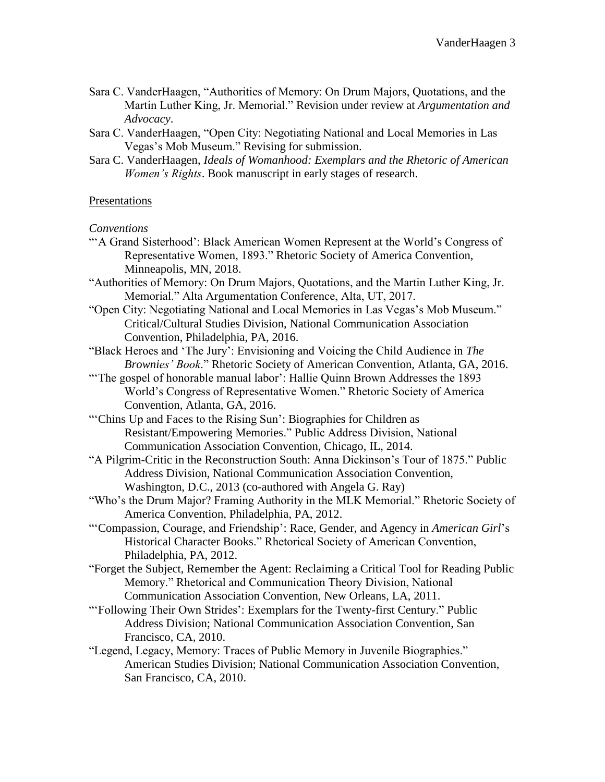- Sara C. VanderHaagen, "Authorities of Memory: On Drum Majors, Quotations, and the Martin Luther King, Jr. Memorial." Revision under review at *Argumentation and Advocacy*.
- Sara C. VanderHaagen, "Open City: Negotiating National and Local Memories in Las Vegas's Mob Museum." Revising for submission.
- Sara C. VanderHaagen, *Ideals of Womanhood: Exemplars and the Rhetoric of American Women's Rights*. Book manuscript in early stages of research.

### Presentations

### *Conventions*

- "'A Grand Sisterhood': Black American Women Represent at the World's Congress of Representative Women, 1893." Rhetoric Society of America Convention, Minneapolis, MN, 2018.
- "Authorities of Memory: On Drum Majors, Quotations, and the Martin Luther King, Jr. Memorial." Alta Argumentation Conference, Alta, UT, 2017.
- "Open City: Negotiating National and Local Memories in Las Vegas's Mob Museum." Critical/Cultural Studies Division, National Communication Association Convention, Philadelphia, PA, 2016.
- "Black Heroes and 'The Jury': Envisioning and Voicing the Child Audience in *The Brownies' Book*." Rhetoric Society of American Convention, Atlanta, GA, 2016.
- "The gospel of honorable manual labor': Hallie Quinn Brown Addresses the 1893 World's Congress of Representative Women." Rhetoric Society of America Convention, Atlanta, GA, 2016.
- "'Chins Up and Faces to the Rising Sun': Biographies for Children as Resistant/Empowering Memories." Public Address Division, National Communication Association Convention, Chicago, IL, 2014.
- "A Pilgrim-Critic in the Reconstruction South: Anna Dickinson's Tour of 1875." Public Address Division, National Communication Association Convention, Washington, D.C., 2013 (co-authored with Angela G. Ray)
- "Who's the Drum Major? Framing Authority in the MLK Memorial." Rhetoric Society of America Convention, Philadelphia, PA, 2012.
- "'Compassion, Courage, and Friendship': Race, Gender, and Agency in *American Girl*'s Historical Character Books." Rhetorical Society of American Convention, Philadelphia, PA, 2012.
- "Forget the Subject, Remember the Agent: Reclaiming a Critical Tool for Reading Public Memory." Rhetorical and Communication Theory Division, National Communication Association Convention, New Orleans, LA, 2011.
- "'Following Their Own Strides': Exemplars for the Twenty-first Century." Public Address Division; National Communication Association Convention, San Francisco, CA, 2010.
- "Legend, Legacy, Memory: Traces of Public Memory in Juvenile Biographies." American Studies Division; National Communication Association Convention, San Francisco, CA, 2010.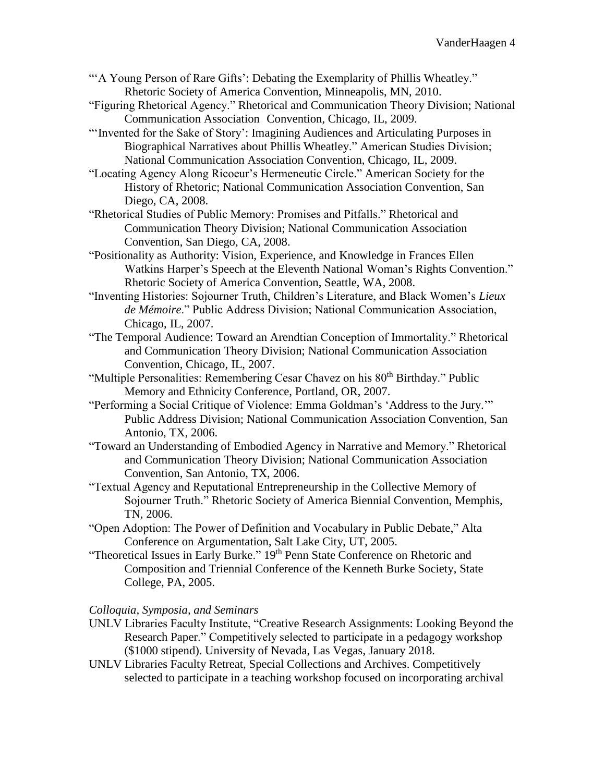- "'A Young Person of Rare Gifts': Debating the Exemplarity of Phillis Wheatley." Rhetoric Society of America Convention, Minneapolis, MN, 2010.
- "Figuring Rhetorical Agency." Rhetorical and Communication Theory Division; National Communication Association Convention, Chicago, IL, 2009.
- "'Invented for the Sake of Story': Imagining Audiences and Articulating Purposes in Biographical Narratives about Phillis Wheatley." American Studies Division; National Communication Association Convention, Chicago, IL, 2009.

"Locating Agency Along Ricoeur's Hermeneutic Circle." American Society for the History of Rhetoric; National Communication Association Convention, San Diego, CA, 2008.

"Rhetorical Studies of Public Memory: Promises and Pitfalls." Rhetorical and Communication Theory Division; National Communication Association Convention, San Diego, CA, 2008.

"Positionality as Authority: Vision, Experience, and Knowledge in Frances Ellen Watkins Harper's Speech at the Eleventh National Woman's Rights Convention." Rhetoric Society of America Convention, Seattle, WA, 2008.

- "Inventing Histories: Sojourner Truth, Children's Literature, and Black Women's *Lieux de Mémoire*." Public Address Division; National Communication Association, Chicago, IL, 2007.
- "The Temporal Audience: Toward an Arendtian Conception of Immortality." Rhetorical and Communication Theory Division; National Communication Association Convention, Chicago, IL, 2007.
- "Multiple Personalities: Remembering Cesar Chavez on his 80<sup>th</sup> Birthday." Public Memory and Ethnicity Conference, Portland, OR, 2007.
- "Performing a Social Critique of Violence: Emma Goldman's 'Address to the Jury.'" Public Address Division; National Communication Association Convention, San Antonio, TX, 2006.
- "Toward an Understanding of Embodied Agency in Narrative and Memory." Rhetorical and Communication Theory Division; National Communication Association Convention, San Antonio, TX, 2006.
- "Textual Agency and Reputational Entrepreneurship in the Collective Memory of Sojourner Truth." Rhetoric Society of America Biennial Convention, Memphis, TN, 2006.
- "Open Adoption: The Power of Definition and Vocabulary in Public Debate," Alta Conference on Argumentation, Salt Lake City, UT, 2005.
- "Theoretical Issues in Early Burke." 19<sup>th</sup> Penn State Conference on Rhetoric and Composition and Triennial Conference of the Kenneth Burke Society, State College, PA, 2005.

### *Colloquia, Symposia, and Seminars*

- UNLV Libraries Faculty Institute, "Creative Research Assignments: Looking Beyond the Research Paper." Competitively selected to participate in a pedagogy workshop (\$1000 stipend). University of Nevada, Las Vegas, January 2018.
- UNLV Libraries Faculty Retreat, Special Collections and Archives. Competitively selected to participate in a teaching workshop focused on incorporating archival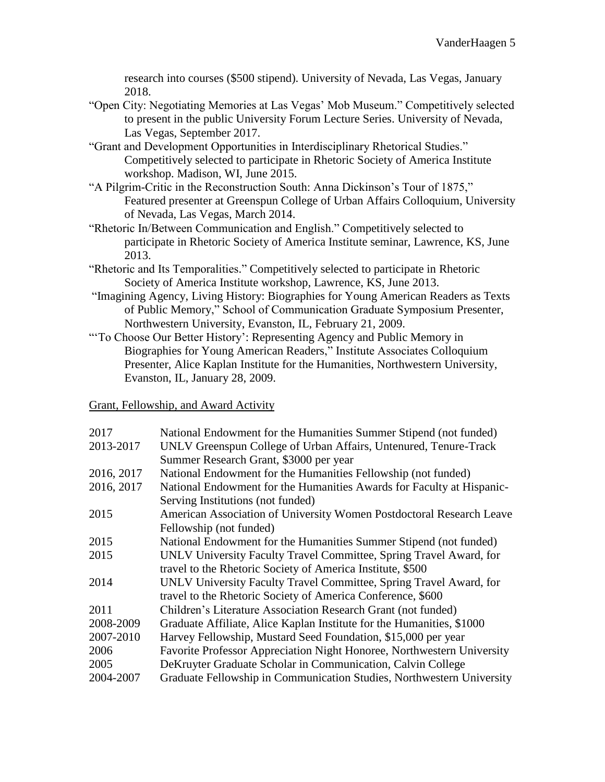research into courses (\$500 stipend). University of Nevada, Las Vegas, January 2018.

- "Open City: Negotiating Memories at Las Vegas' Mob Museum." Competitively selected to present in the public University Forum Lecture Series. University of Nevada, Las Vegas, September 2017.
- "Grant and Development Opportunities in Interdisciplinary Rhetorical Studies." Competitively selected to participate in Rhetoric Society of America Institute workshop. Madison, WI, June 2015.
- "A Pilgrim-Critic in the Reconstruction South: Anna Dickinson's Tour of 1875," Featured presenter at Greenspun College of Urban Affairs Colloquium, University of Nevada, Las Vegas, March 2014.
- "Rhetoric In/Between Communication and English." Competitively selected to participate in Rhetoric Society of America Institute seminar, Lawrence, KS, June 2013.
- "Rhetoric and Its Temporalities." Competitively selected to participate in Rhetoric Society of America Institute workshop, Lawrence, KS, June 2013.
- "Imagining Agency, Living History: Biographies for Young American Readers as Texts of Public Memory," School of Communication Graduate Symposium Presenter, Northwestern University, Evanston, IL, February 21, 2009.
- "'To Choose Our Better History': Representing Agency and Public Memory in Biographies for Young American Readers," Institute Associates Colloquium Presenter, Alice Kaplan Institute for the Humanities, Northwestern University, Evanston, IL, January 28, 2009.

## Grant, Fellowship, and Award Activity

| National Endowment for the Humanities Summer Stipend (not funded)      |
|------------------------------------------------------------------------|
| UNLV Greenspun College of Urban Affairs, Untenured, Tenure-Track       |
| Summer Research Grant, \$3000 per year                                 |
| National Endowment for the Humanities Fellowship (not funded)          |
| National Endowment for the Humanities Awards for Faculty at Hispanic-  |
| Serving Institutions (not funded)                                      |
| American Association of University Women Postdoctoral Research Leave   |
| Fellowship (not funded)                                                |
| National Endowment for the Humanities Summer Stipend (not funded)      |
| UNLV University Faculty Travel Committee, Spring Travel Award, for     |
| travel to the Rhetoric Society of America Institute, \$500             |
| UNLV University Faculty Travel Committee, Spring Travel Award, for     |
| travel to the Rhetoric Society of America Conference, \$600            |
| Children's Literature Association Research Grant (not funded)          |
| Graduate Affiliate, Alice Kaplan Institute for the Humanities, \$1000  |
| Harvey Fellowship, Mustard Seed Foundation, \$15,000 per year          |
| Favorite Professor Appreciation Night Honoree, Northwestern University |
| DeKruyter Graduate Scholar in Communication, Calvin College            |
| Graduate Fellowship in Communication Studies, Northwestern University  |
|                                                                        |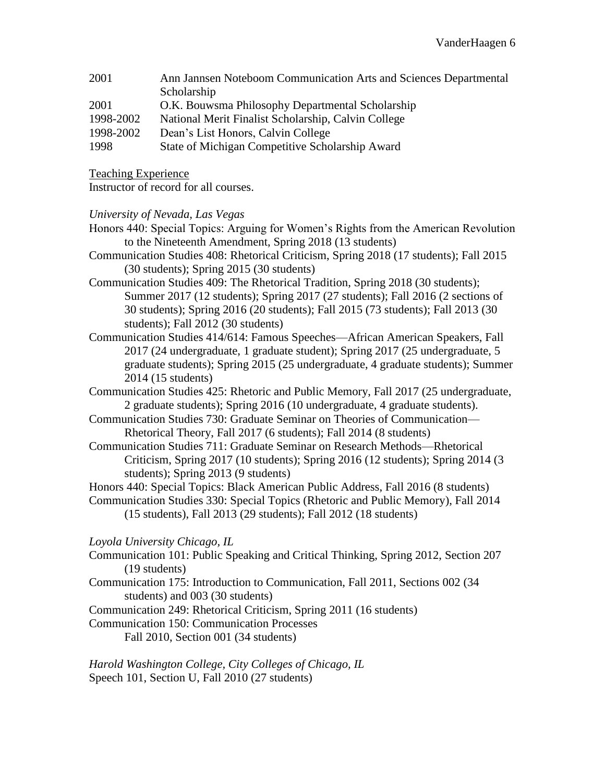| 2001      | Ann Jannsen Noteboom Communication Arts and Sciences Departmental |
|-----------|-------------------------------------------------------------------|
|           | Scholarship                                                       |
| 2001      | O.K. Bouwsma Philosophy Departmental Scholarship                  |
| 1998-2002 | National Merit Finalist Scholarship, Calvin College               |
| 1998-2002 | Dean's List Honors, Calvin College                                |
|           |                                                                   |

1998 State of Michigan Competitive Scholarship Award

Teaching Experience

Instructor of record for all courses.

## *University of Nevada, Las Vegas*

- Honors 440: Special Topics: Arguing for Women's Rights from the American Revolution to the Nineteenth Amendment, Spring 2018 (13 students)
- Communication Studies 408: Rhetorical Criticism, Spring 2018 (17 students); Fall 2015 (30 students); Spring 2015 (30 students)
- Communication Studies 409: The Rhetorical Tradition, Spring 2018 (30 students); Summer 2017 (12 students); Spring 2017 (27 students); Fall 2016 (2 sections of 30 students); Spring 2016 (20 students); Fall 2015 (73 students); Fall 2013 (30 students); Fall 2012 (30 students)
- Communication Studies 414/614: Famous Speeches—African American Speakers, Fall 2017 (24 undergraduate, 1 graduate student); Spring 2017 (25 undergraduate, 5 graduate students); Spring 2015 (25 undergraduate, 4 graduate students); Summer 2014 (15 students)
- Communication Studies 425: Rhetoric and Public Memory, Fall 2017 (25 undergraduate, 2 graduate students); Spring 2016 (10 undergraduate, 4 graduate students).
- Communication Studies 730: Graduate Seminar on Theories of Communication— Rhetorical Theory, Fall 2017 (6 students); Fall 2014 (8 students)
- Communication Studies 711: Graduate Seminar on Research Methods—Rhetorical Criticism, Spring 2017 (10 students); Spring 2016 (12 students); Spring 2014 (3 students); Spring 2013 (9 students)

Honors 440: Special Topics: Black American Public Address, Fall 2016 (8 students)

Communication Studies 330: Special Topics (Rhetoric and Public Memory), Fall 2014 (15 students), Fall 2013 (29 students); Fall 2012 (18 students)

*Loyola University Chicago, IL*

- Communication 101: Public Speaking and Critical Thinking, Spring 2012, Section 207 (19 students)
- Communication 175: Introduction to Communication, Fall 2011, Sections 002 (34 students) and 003 (30 students)

Communication 249: Rhetorical Criticism, Spring 2011 (16 students)

Communication 150: Communication Processes

Fall 2010, Section 001 (34 students)

*Harold Washington College, City Colleges of Chicago, IL* Speech 101, Section U, Fall 2010 (27 students)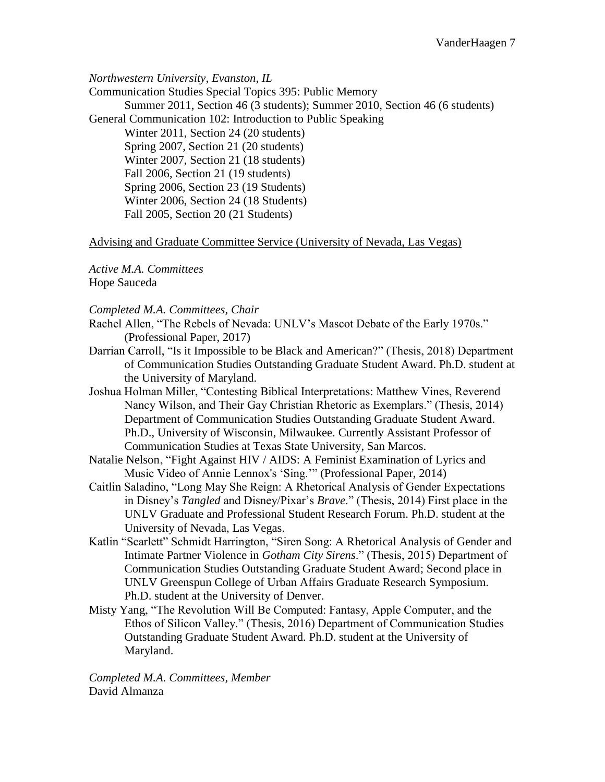*Northwestern University, Evanston, IL*

Communication Studies Special Topics 395: Public Memory Summer 2011, Section 46 (3 students); Summer 2010, Section 46 (6 students) General Communication 102: Introduction to Public Speaking Winter 2011, Section 24 (20 students) Spring 2007, Section 21 (20 students) Winter 2007, Section 21 (18 students) Fall 2006, Section 21 (19 students) Spring 2006, Section 23 (19 Students) Winter 2006, Section 24 (18 Students) Fall 2005, Section 20 (21 Students)

Advising and Graduate Committee Service (University of Nevada, Las Vegas)

*Active M.A. Committees* Hope Sauceda

*Completed M.A. Committees, Chair*

Rachel Allen, "The Rebels of Nevada: UNLV's Mascot Debate of the Early 1970s." (Professional Paper, 2017)

- Darrian Carroll, "Is it Impossible to be Black and American?" (Thesis, 2018) Department of Communication Studies Outstanding Graduate Student Award. Ph.D. student at the University of Maryland.
- Joshua Holman Miller, "Contesting Biblical Interpretations: Matthew Vines, Reverend Nancy Wilson, and Their Gay Christian Rhetoric as Exemplars." (Thesis, 2014) Department of Communication Studies Outstanding Graduate Student Award. Ph.D., University of Wisconsin, Milwaukee. Currently Assistant Professor of Communication Studies at Texas State University, San Marcos.
- Natalie Nelson, "Fight Against HIV / AIDS: A Feminist Examination of Lyrics and Music Video of Annie Lennox's 'Sing.'" (Professional Paper, 2014)
- Caitlin Saladino, "Long May She Reign: A Rhetorical Analysis of Gender Expectations in Disney's *Tangled* and Disney/Pixar's *Brave*." (Thesis, 2014) First place in the UNLV Graduate and Professional Student Research Forum. Ph.D. student at the University of Nevada, Las Vegas.
- Katlin "Scarlett" Schmidt Harrington, "Siren Song: A Rhetorical Analysis of Gender and Intimate Partner Violence in *Gotham City Sirens*." (Thesis, 2015) Department of Communication Studies Outstanding Graduate Student Award; Second place in UNLV Greenspun College of Urban Affairs Graduate Research Symposium. Ph.D. student at the University of Denver.
- Misty Yang, "The Revolution Will Be Computed: Fantasy, Apple Computer, and the Ethos of Silicon Valley." (Thesis, 2016) Department of Communication Studies Outstanding Graduate Student Award. Ph.D. student at the University of Maryland.

*Completed M.A. Committees, Member* David Almanza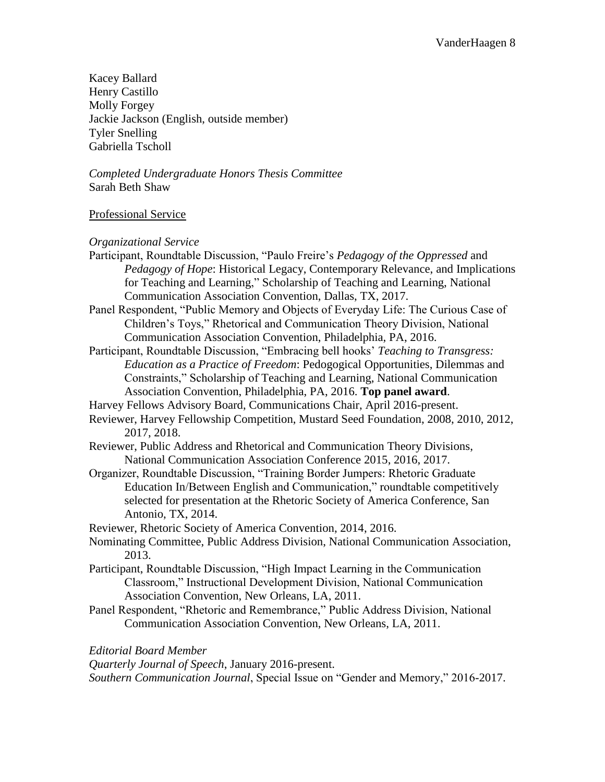Kacey Ballard Henry Castillo Molly Forgey Jackie Jackson (English, outside member) Tyler Snelling Gabriella Tscholl

*Completed Undergraduate Honors Thesis Committee* Sarah Beth Shaw

## Professional Service

*Organizational Service*

- Participant, Roundtable Discussion, "Paulo Freire's *Pedagogy of the Oppressed* and *Pedagogy of Hope*: Historical Legacy, Contemporary Relevance, and Implications for Teaching and Learning," Scholarship of Teaching and Learning, National Communication Association Convention, Dallas, TX, 2017.
- Panel Respondent, "Public Memory and Objects of Everyday Life: The Curious Case of Children's Toys," Rhetorical and Communication Theory Division, National Communication Association Convention, Philadelphia, PA, 2016.
- Participant, Roundtable Discussion, "Embracing bell hooks' *Teaching to Transgress: Education as a Practice of Freedom*: Pedogogical Opportunities, Dilemmas and Constraints," Scholarship of Teaching and Learning, National Communication Association Convention, Philadelphia, PA, 2016. **Top panel award**.

Harvey Fellows Advisory Board, Communications Chair, April 2016-present.

- Reviewer, Harvey Fellowship Competition, Mustard Seed Foundation, 2008, 2010, 2012, 2017, 2018.
- Reviewer, Public Address and Rhetorical and Communication Theory Divisions, National Communication Association Conference 2015, 2016, 2017.
- Organizer, Roundtable Discussion, "Training Border Jumpers: Rhetoric Graduate Education In/Between English and Communication," roundtable competitively selected for presentation at the Rhetoric Society of America Conference, San Antonio, TX, 2014.

Reviewer, Rhetoric Society of America Convention, 2014, 2016.

- Nominating Committee, Public Address Division, National Communication Association, 2013.
- Participant, Roundtable Discussion, "High Impact Learning in the Communication Classroom," Instructional Development Division, National Communication Association Convention, New Orleans, LA, 2011.
- Panel Respondent, "Rhetoric and Remembrance," Public Address Division, National Communication Association Convention, New Orleans, LA, 2011.

*Editorial Board Member*

*Quarterly Journal of Speech*, January 2016-present.

*Southern Communication Journal*, Special Issue on "Gender and Memory," 2016-2017.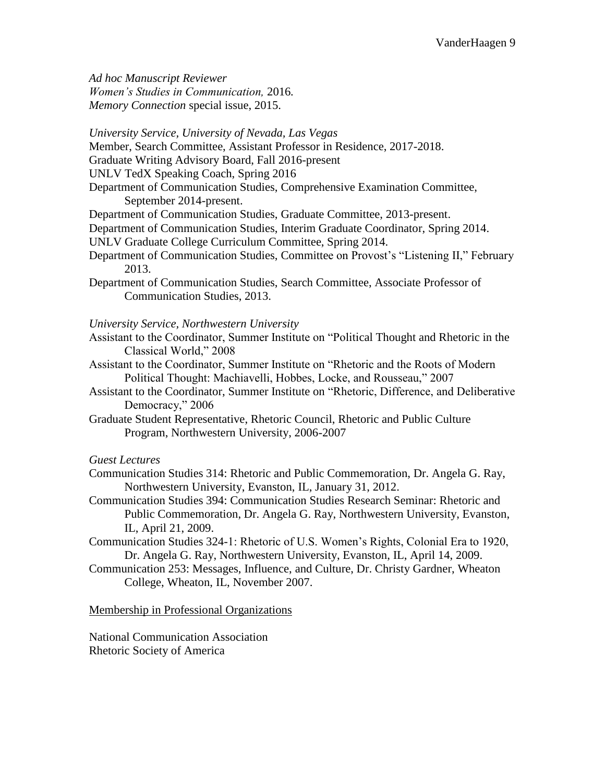*Ad hoc Manuscript Reviewer Women's Studies in Communication,* 2016*. Memory Connection* special issue, 2015.

*University Service, University of Nevada, Las Vegas*

Member, Search Committee, Assistant Professor in Residence, 2017-2018.

Graduate Writing Advisory Board, Fall 2016-present

UNLV TedX Speaking Coach, Spring 2016

Department of Communication Studies, Comprehensive Examination Committee,

September 2014-present.

Department of Communication Studies, Graduate Committee, 2013-present.

Department of Communication Studies, Interim Graduate Coordinator, Spring 2014.

- UNLV Graduate College Curriculum Committee, Spring 2014.
- Department of Communication Studies, Committee on Provost's "Listening II," February 2013.
- Department of Communication Studies, Search Committee, Associate Professor of Communication Studies, 2013.

## *University Service, Northwestern University*

- Assistant to the Coordinator, Summer Institute on "Political Thought and Rhetoric in the Classical World," 2008
- Assistant to the Coordinator, Summer Institute on "Rhetoric and the Roots of Modern Political Thought: Machiavelli, Hobbes, Locke, and Rousseau," 2007
- Assistant to the Coordinator, Summer Institute on "Rhetoric, Difference, and Deliberative Democracy," 2006

Graduate Student Representative, Rhetoric Council, Rhetoric and Public Culture Program, Northwestern University, 2006-2007

### *Guest Lectures*

- Communication Studies 314: Rhetoric and Public Commemoration, Dr. Angela G. Ray, Northwestern University, Evanston, IL, January 31, 2012.
- Communication Studies 394: Communication Studies Research Seminar: Rhetoric and Public Commemoration, Dr. Angela G. Ray, Northwestern University, Evanston, IL, April 21, 2009.
- Communication Studies 324-1: Rhetoric of U.S. Women's Rights, Colonial Era to 1920, Dr. Angela G. Ray, Northwestern University, Evanston, IL, April 14, 2009.
- Communication 253: Messages, Influence, and Culture, Dr. Christy Gardner, Wheaton College, Wheaton, IL, November 2007.

### Membership in Professional Organizations

National Communication Association Rhetoric Society of America